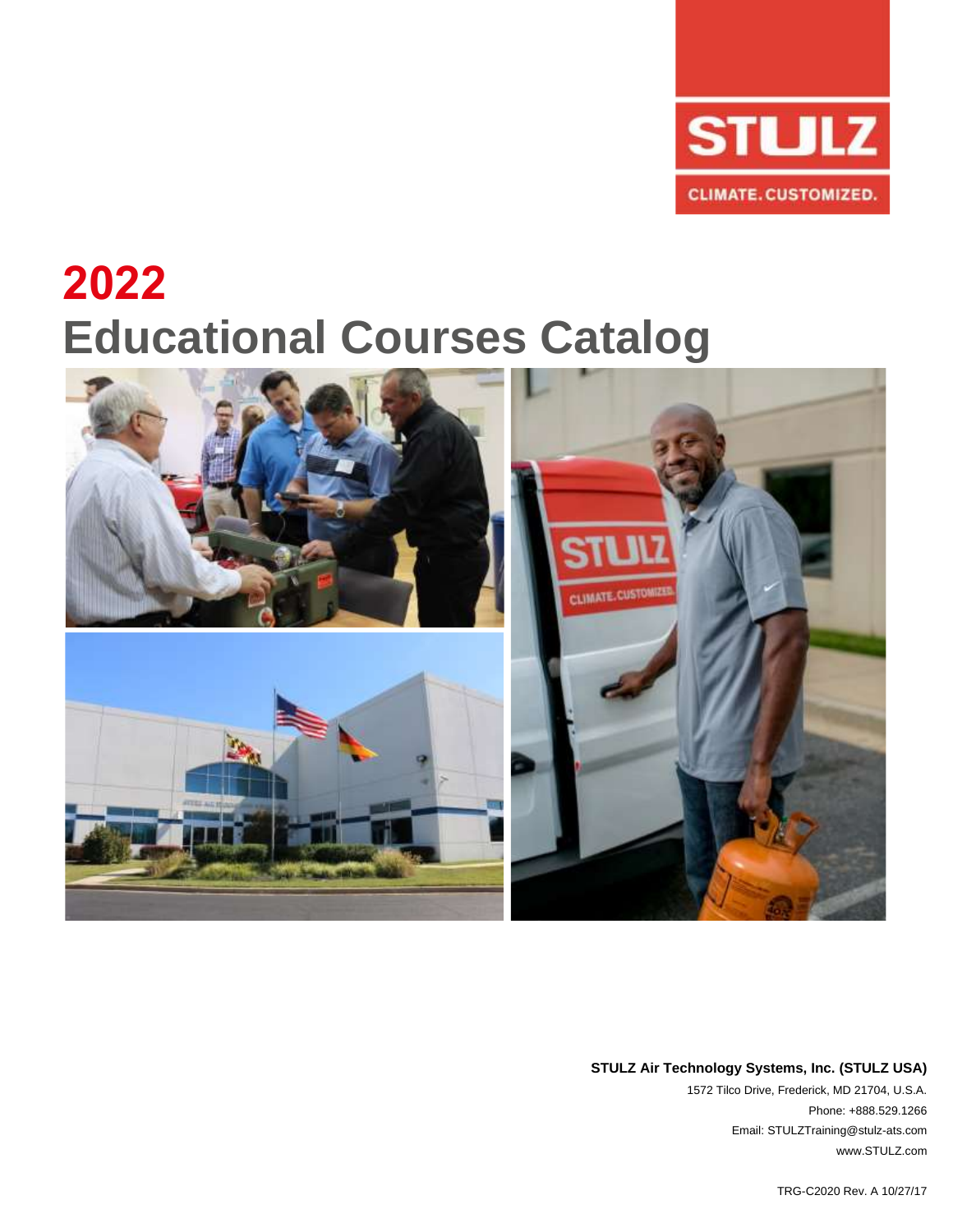

# **2022 Educational Courses Catalog**



#### **STULZ Air Technology Systems, Inc. (STULZ USA)**

1572 Tilco Drive, Frederick, MD 21704, U.S.A. Phone: +888.529.1266 Email: STULZTraining@stulz-ats.com www.STULZ.com

TRG-C2020 Rev. A 10/27/17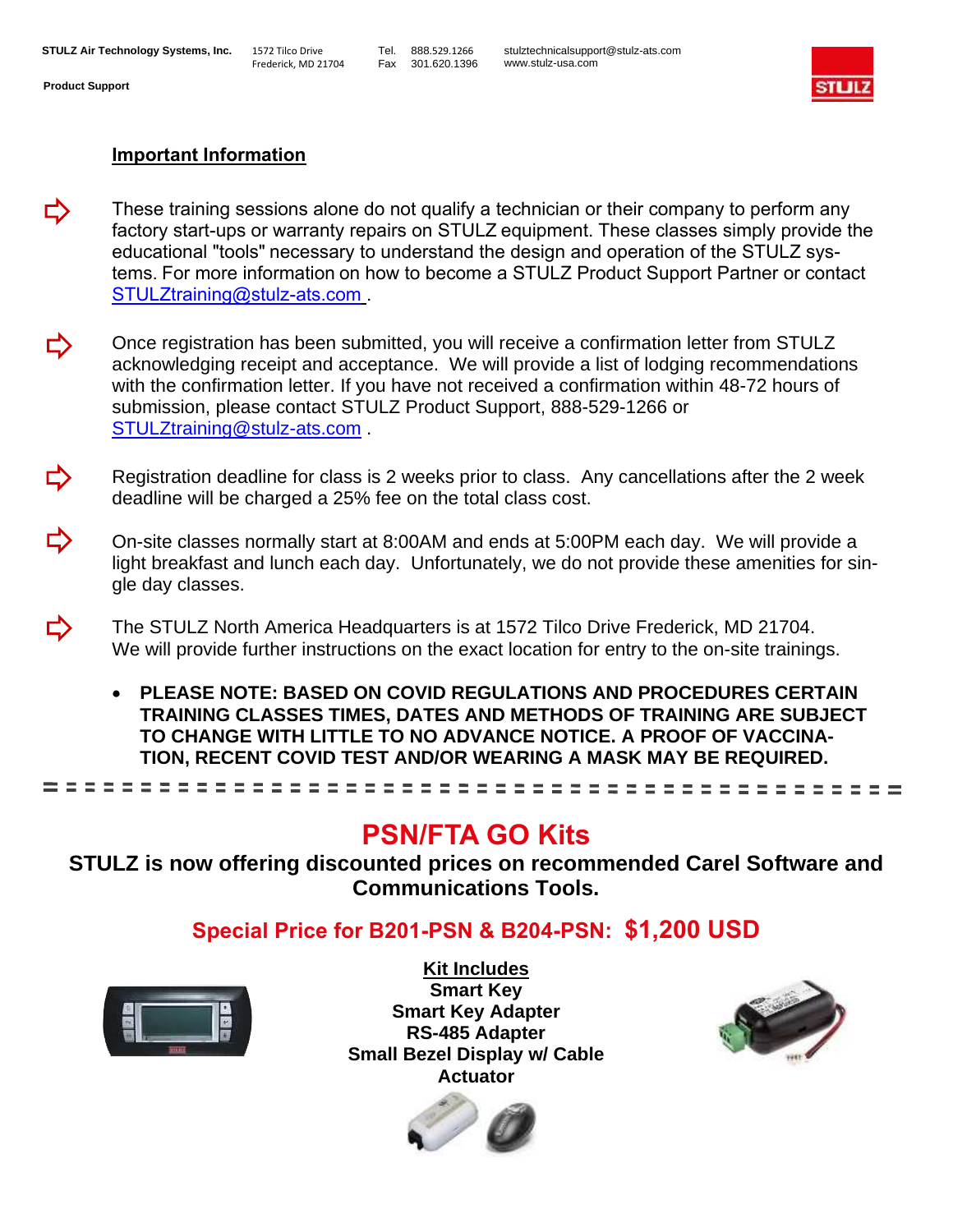

#### **Important Information**

- These training sessions alone do not qualify a technician or their company to perform any ⇨ factory start-ups or warranty repairs on STULZ equipment. These classes simply provide the educational "tools" necessary to understand the design and operation of the STULZ systems. For more information on how to become a STULZ Product Support Partner or contact STULZtraining@stulz-ats.com .
- Once registration has been submitted, you will receive a confirmation letter from STULZ Ľ, acknowledging receipt and acceptance. We will provide a list of lodging recommendations with the confirmation letter. If you have not received a confirmation within 48-72 hours of submission, please contact STULZ Product Support, 888-529-1266 or STULZtraining@stulz-ats.com .
- Registration deadline for class is 2 weeks prior to class. Any cancellations after the 2 week deadline will be charged a 25% fee on the total class cost.
- On-site classes normally start at 8:00AM and ends at 5:00PM each day. We will provide a light breakfast and lunch each day. Unfortunately, we do not provide these amenities for single day classes.
- ⇨ The STULZ North America Headquarters is at 1572 Tilco Drive Frederick, MD 21704. We will provide further instructions on the exact location for entry to the on-site trainings.
	- **PLEASE NOTE: BASED ON COVID REGULATIONS AND PROCEDURES CERTAIN TRAINING CLASSES TIMES, DATES AND METHODS OF TRAINING ARE SUBJECT TO CHANGE WITH LITTLE TO NO ADVANCE NOTICE. A PROOF OF VACCINA-TION, RECENT COVID TEST AND/OR WEARING A MASK MAY BE REQUIRED.**

## **PSN/FTA GO Kits**

**STULZ is now offering discounted prices on recommended Carel Software and Communications Tools.**

### **Special Price for B201-PSN & B204-PSN: \$1,200 USD**



**Kit Includes Smart Key Smart Key Adapter RS-485 Adapter Small Bezel Display w/ Cable Actuator**



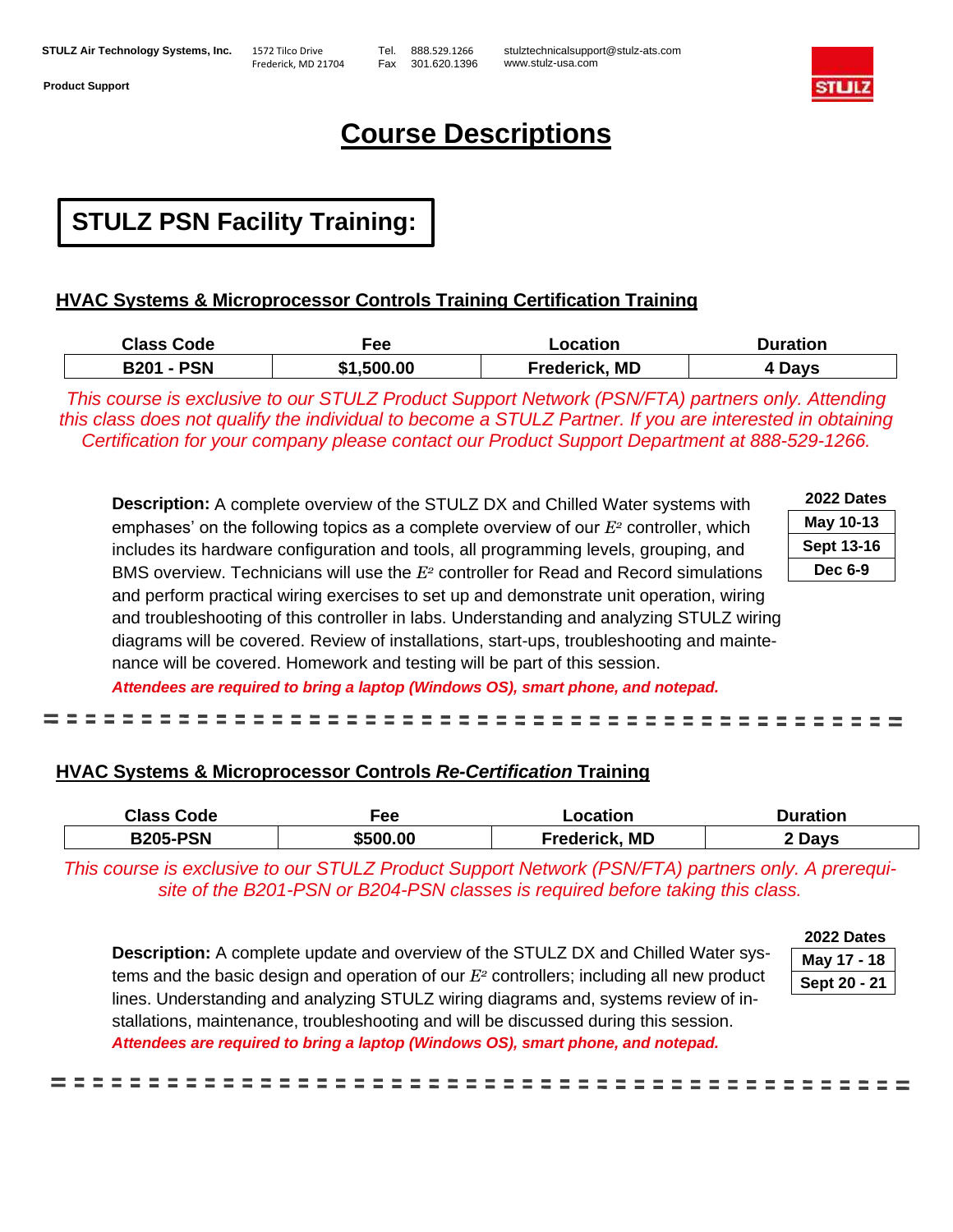Frederick, MD 21704

Tel. 888.529.1266 Fax 301.620.1396

stulztechnicalsupport@stulz-ats.com www.stulz-usa.com



## **Course Descriptions**

## **STULZ PSN Facility Training:**

#### **HVAC Systems & Microprocessor Controls Training Certification Training**

| <b>Class Code</b> | <sup>=</sup> ee | ∟ocation             | Duration |
|-------------------|-----------------|----------------------|----------|
| <b>B201 - PSN</b> | \$1,500.00      | <b>Frederick, MD</b> | 4 Days   |

*This course is exclusive to our STULZ Product Support Network (PSN/FTA) partners only. Attending this class does not qualify the individual to become a STULZ Partner. If you are interested in obtaining Certification for your company please contact our Product Support Department at 888-529-1266.*

**Description:** A complete overview of the STULZ DX and Chilled Water systems with emphases' on the following topics as a complete overview of our *E<sup>2</sup>* controller, which includes its hardware configuration and tools, all programming levels, grouping, and BMS overview. Technicians will use the *E<sup>2</sup>* controller for Read and Record simulations and perform practical wiring exercises to set up and demonstrate unit operation, wiring and troubleshooting of this controller in labs. Understanding and analyzing STULZ wiring diagrams will be covered. Review of installations, start-ups, troubleshooting and maintenance will be covered. Homework and testing will be part of this session. *Attendees are required to bring a laptop (Windows OS), smart phone, and notepad.*

| 2022 Dates        |
|-------------------|
| May 10-13         |
| <b>Sept 13-16</b> |
|                   |

---------

| UNCY IV-IS        |
|-------------------|
| <b>Sept 13-16</b> |
| Dec 6-9           |

---------------------

#### **HVAC Systems & Microprocessor Controls** *Re-Certification* **Training**

| <b>Class Code</b> | Fee      | Location      | <b>Duration</b> |
|-------------------|----------|---------------|-----------------|
| <b>B205-PSN</b>   | \$500.00 | Frederick, MD | 2 Davs          |

-------

*This course is exclusive to our STULZ Product Support Network (PSN/FTA) partners only. A prerequisite of the B201-PSN or B204-PSN classes is required before taking this class.*

**Description:** A complete update and overview of the STULZ DX and Chilled Water systems and the basic design and operation of our *E<sup>2</sup>* controllers; including all new product lines. Understanding and analyzing STULZ wiring diagrams and, systems review of installations, maintenance, troubleshooting and will be discussed during this session. *Attendees are required to bring a laptop (Windows OS), smart phone, and notepad.*

| ZULL DAI <del>c</del> s |
|-------------------------|
| May 17 - 18             |
| Sept 20 - 21            |

**2022 Dates**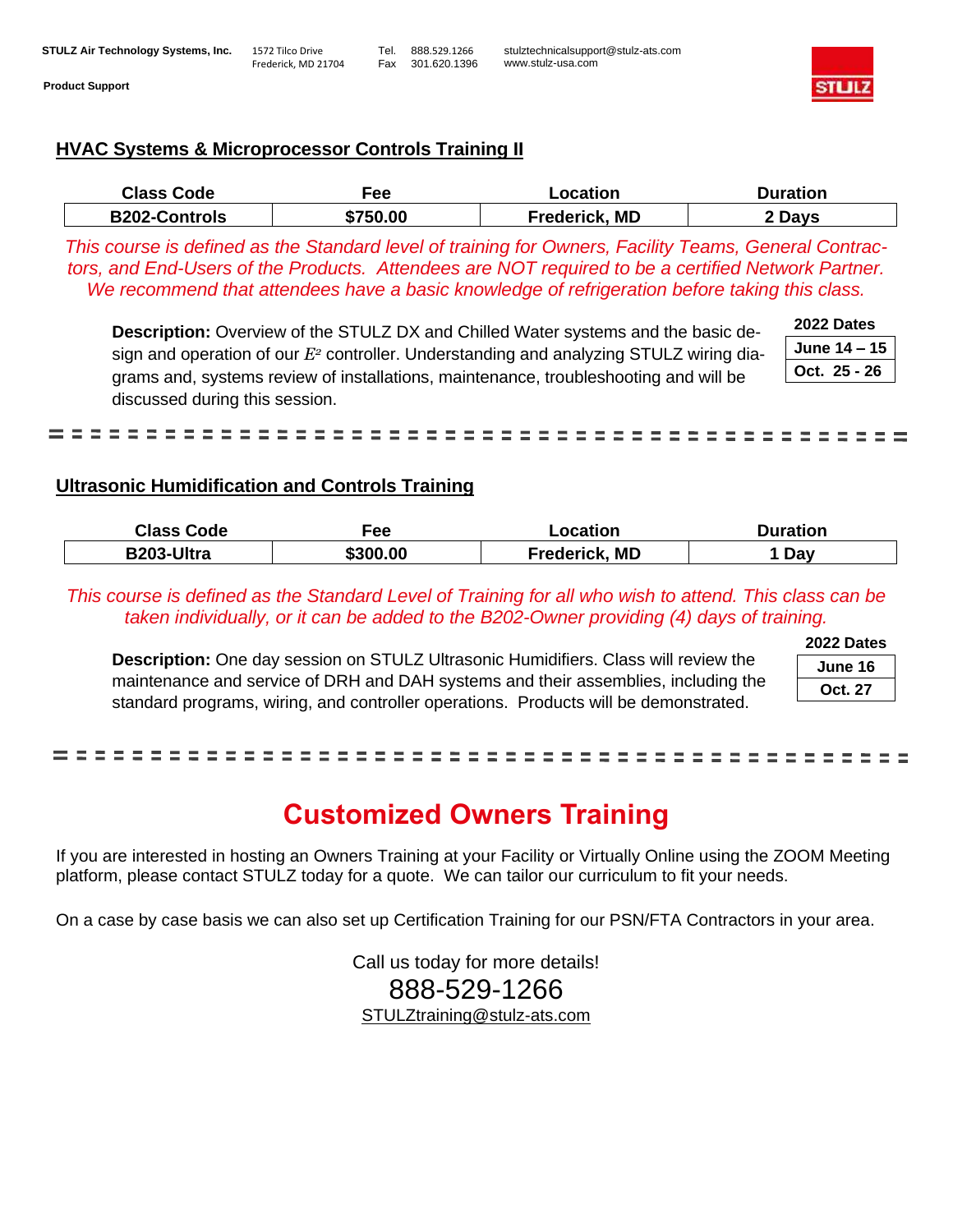#### **STULZ Air Technology Systems, Inc.** 1572 Tilco Drive Frederick, MD 21704 Tel. 888.529.1266 Fax 301.620.1396 stulztechnicalsupport@stulz-ats.com www.stulz-usa.com **Product Support**



#### **HVAC Systems & Microprocessor Controls Training II**

| <b>Class Code</b>    | -ee      | -ocation                        | Duration |
|----------------------|----------|---------------------------------|----------|
| <b>B202-Controls</b> | \$750.00 | ., MD<br><sup>⊏</sup> rederick. | Davs     |

*This course is defined as the Standard level of training for Owners, Facility Teams, General Contractors, and End-Users of the Products. Attendees are NOT required to be a certified Network Partner. We recommend that attendees have a basic knowledge of refrigeration before taking this class.*

**Description:** Overview of the STULZ DX and Chilled Water systems and the basic design and operation of our *E<sup>2</sup>* controller. Understanding and analyzing STULZ wiring diagrams and, systems review of installations, maintenance, troubleshooting and will be discussed during this session.

| 2022 Dates     |
|----------------|
| June $14 - 15$ |
| Oct. 25 - 26   |

= = = = = = = = --------------------------

#### **Ultrasonic Humidification and Controls Training**

| <b>Class Code</b> | Fee      | Location             | Duration |
|-------------------|----------|----------------------|----------|
| B203-Ultra        | \$300.00 | <b>Frederick, MD</b> | Day      |

*This course is defined as the Standard Level of Training for all who wish to attend. This class can be taken individually, or it can be added to the B202-Owner providing (4) days of training.* 

**Description:** One day session on STULZ Ultrasonic Humidifiers. Class will review the maintenance and service of DRH and DAH systems and their assemblies, including the standard programs, wiring, and controller operations. Products will be demonstrated.

| June 16 |  |
|---------|--|
| Oct. 27 |  |

#### . **. . . . . . . . . . . . . .** .

## **Customized Owners Training**

If you are interested in hosting an Owners Training at your Facility or Virtually Online using the ZOOM Meeting platform, please contact STULZ today for a quote. We can tailor our curriculum to fit your needs.

On a case by case basis we can also set up Certification Training for our PSN/FTA Contractors in your area.

Call us today for more details! 888-529-1266 STULZtraining@stulz-ats.com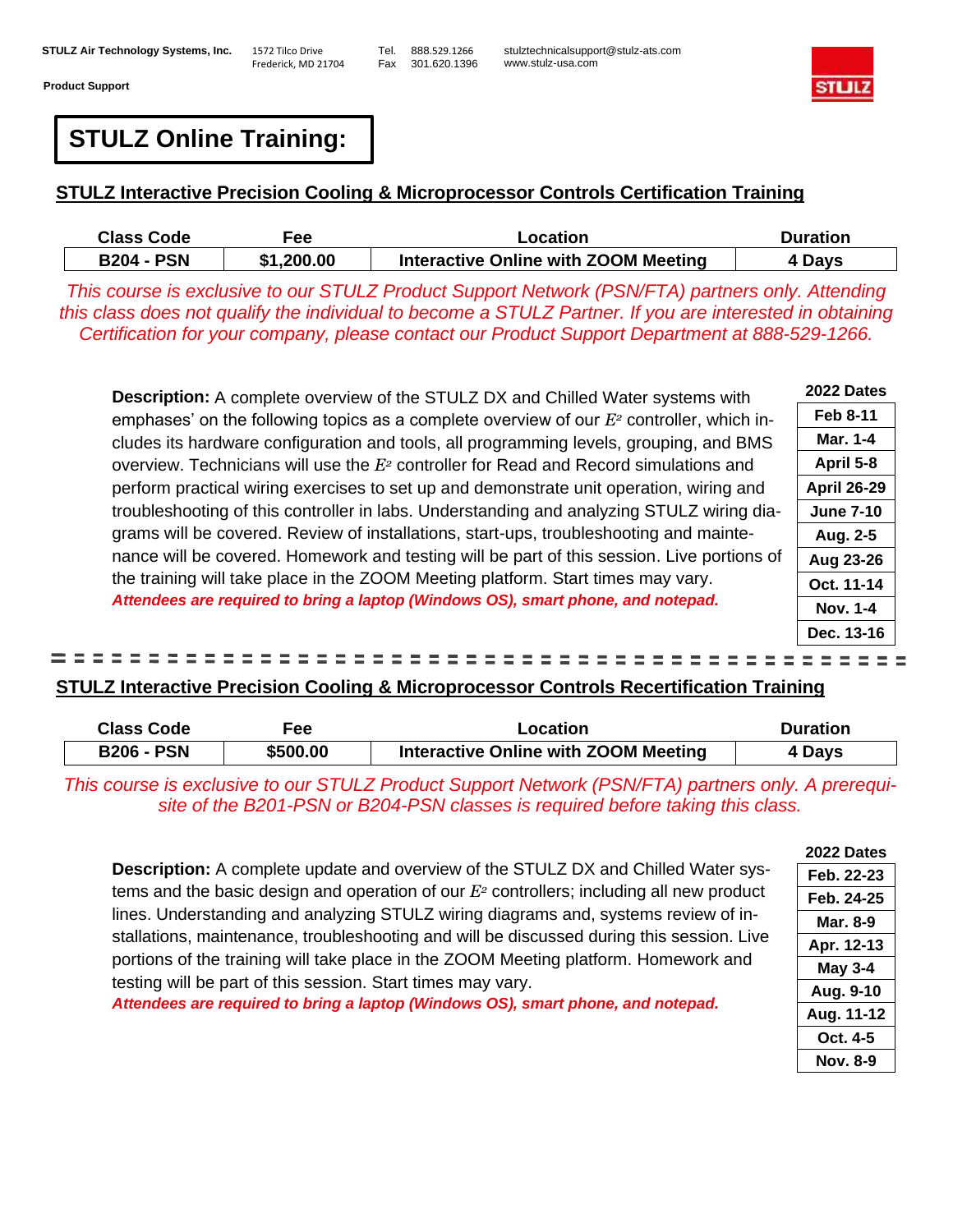Frederick, MD 21704

Tel. 888.529.1266 Fax 301.620.1396

stulztechnicalsupport@stulz-ats.com www.stulz-usa.com



**Feb 8-11 Mar. 1-4 April 5-8**

**Aug. 2-5**

**Nov. 1-4**

# **STULZ Online Training:**

#### **STULZ Interactive Precision Cooling & Microprocessor Controls Certification Training**

| <b>Class Code</b> | Fee:       | Location                             | <b>Duration</b> |
|-------------------|------------|--------------------------------------|-----------------|
| <b>B204 - PSN</b> | \$1,200.00 | Interactive Online with ZOOM Meeting | 4 Days          |

*This course is exclusive to our STULZ Product Support Network (PSN/FTA) partners only. Attending this class does not qualify the individual to become a STULZ Partner. If you are interested in obtaining Certification for your company, please contact our Product Support Department at 888-529-1266.*

**Description:** A complete overview of the STULZ DX and Chilled Water systems with emphases' on the following topics as a complete overview of our *E<sup>2</sup>* controller, which includes its hardware configuration and tools, all programming levels, grouping, and BMS overview. Technicians will use the *E<sup>2</sup>* controller for Read and Record simulations and perform practical wiring exercises to set up and demonstrate unit operation, wiring and troubleshooting of this controller in labs. Understanding and analyzing STULZ wiring diagrams will be covered. Review of installations, start-ups, troubleshooting and maintenance will be covered. Homework and testing will be part of this session. Live portions of the training will take place in the ZOOM Meeting platform. Start times may vary. *Attendees are required to bring a laptop (Windows OS), smart phone, and notepad.* **2022 Dates April 26-29 June 7-10 Aug 23-26 Oct. 11-14**

#### -------------------------= = = = = = =

#### **STULZ Interactive Precision Cooling & Microprocessor Controls Recertification Training**

| Class Code        | Fee      | Location                             | Duration |
|-------------------|----------|--------------------------------------|----------|
| <b>B206 - PSN</b> | \$500.00 | Interactive Online with ZOOM Meeting | 4 Days   |

*This course is exclusive to our STULZ Product Support Network (PSN/FTA) partners only. site of the B201-PSN or B204-PSN classes is required before taking this class.*

**Description:** A complete update and overview of the STULZ DX and Chilled Water systems and the basic design and operation of our *E<sup>2</sup>* controllers; including all new product lines. Understanding and analyzing STULZ wiring diagrams and, systems review of installations, maintenance, troubleshooting and will be discussed during this session. Live portions of the training will take place in the ZOOM Meeting platform. Homework and testing will be part of this session. Start times may vary.

*Attendees are required to bring a laptop (Windows OS), smart phone, and notepad.*

| Dec. 13-16     |
|----------------|
| E,<br>Ξ<br>Ξ   |
| <u>ng</u>      |
| ration<br>Days |
| A prerequi-    |
| 2022 Dates     |
| Feb. 22-23     |
| Feb. 24-25     |
| Mar. 8-9       |
| . .            |

| Mar. 8-9       |
|----------------|
| Apr. 12-13     |
| <b>May 3-4</b> |
| Aug. 9-10      |
| Aug. 11-12     |
| Oct. 4-5       |
| Nov. 8-9       |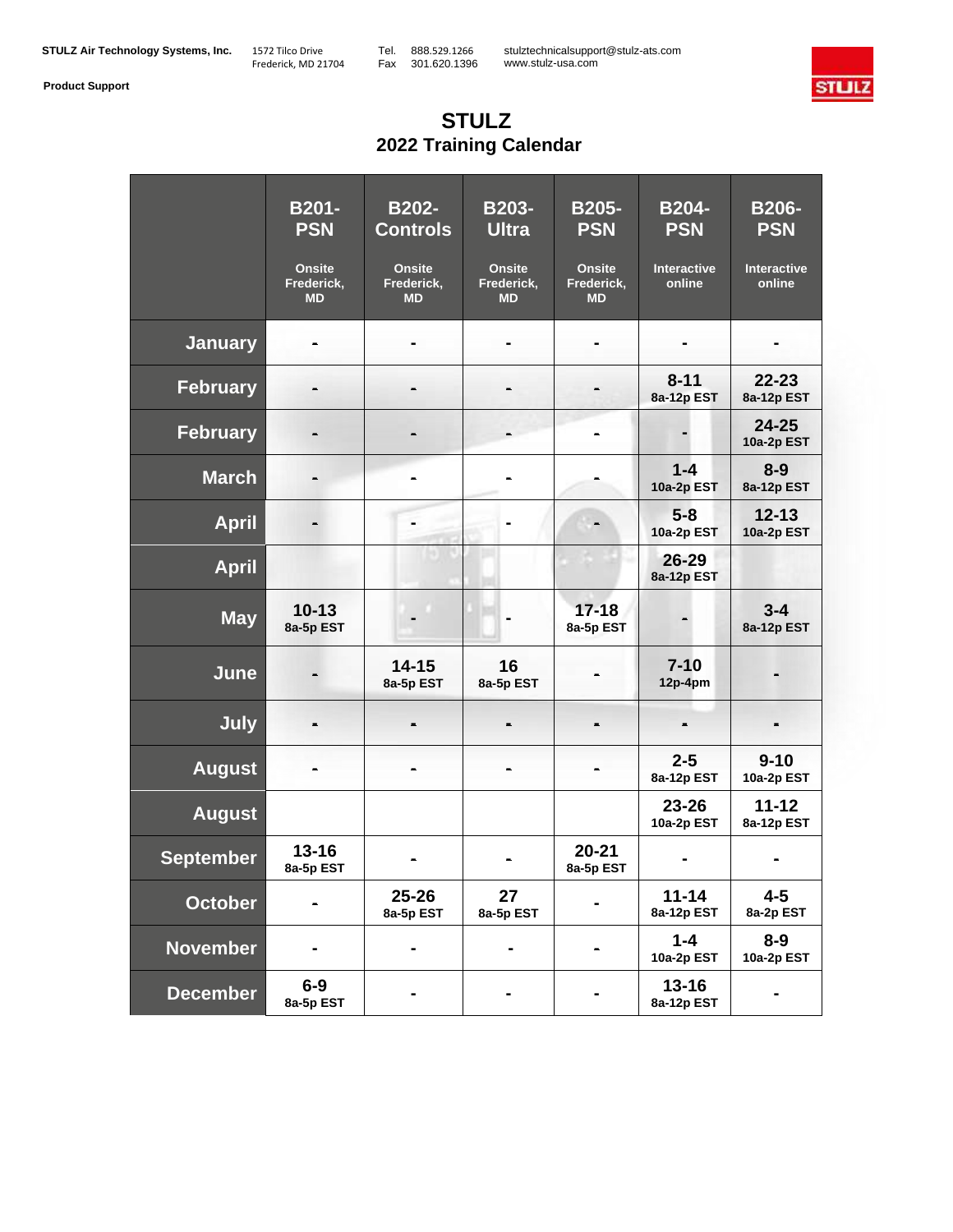stulztechnicalsupport@stulz-ats.com www.stulz-usa.com



## **STULZ 2022 Training Calendar**

|                  | <b>B201-</b><br><b>PSN</b>               | <b>B202-</b><br><b>Controls</b>          | B203-<br><b>Ultra</b>                    | <b>B205-</b><br><b>PSN</b>               | <b>B204-</b><br><b>PSN</b>   | <b>B206-</b><br><b>PSN</b>   |
|------------------|------------------------------------------|------------------------------------------|------------------------------------------|------------------------------------------|------------------------------|------------------------------|
|                  | <b>Onsite</b><br>Frederick,<br><b>MD</b> | <b>Onsite</b><br>Frederick,<br><b>MD</b> | <b>Onsite</b><br>Frederick,<br><b>MD</b> | <b>Onsite</b><br>Frederick,<br><b>MD</b> | <b>Interactive</b><br>online | <b>Interactive</b><br>online |
| <b>January</b>   |                                          |                                          |                                          |                                          |                              |                              |
| <b>February</b>  |                                          |                                          |                                          |                                          | $8 - 11$<br>8a-12p EST       | $22 - 23$<br>8a-12p EST      |
| <b>February</b>  |                                          |                                          |                                          |                                          |                              | $24 - 25$<br>10a-2p EST      |
| <b>March</b>     |                                          |                                          |                                          |                                          | $1 - 4$<br>10a-2p EST        | $8 - 9$<br>8a-12p EST        |
| <b>April</b>     |                                          |                                          |                                          |                                          | $5 - 8$<br>10a-2p EST        | $12 - 13$<br>10a-2p EST      |
| <b>April</b>     |                                          |                                          |                                          |                                          | 26-29<br>8a-12p EST          |                              |
| <b>May</b>       | $10 - 13$<br>8a-5p EST                   |                                          | $\blacksquare$                           | $17 - 18$<br>8a-5p EST                   |                              | $3 - 4$<br>8a-12p EST        |
| June             |                                          | $14 - 15$<br>8a-5p EST                   | 16<br>8a-5p EST                          |                                          | $7 - 10$<br>12p-4pm          |                              |
| <b>July</b>      |                                          |                                          |                                          |                                          |                              |                              |
| <b>August</b>    |                                          |                                          |                                          |                                          | $2 - 5$<br>8a-12p EST        | $9 - 10$<br>10a-2p EST       |
| <b>August</b>    |                                          |                                          |                                          |                                          | 23-26<br>10a-2p EST          | $11 - 12$<br>8a-12p EST      |
| <b>September</b> | $13 - 16$<br>8a-5p EST                   |                                          | $\blacksquare$                           | $20 - 21$<br>8a-5p EST                   |                              |                              |
| <b>October</b>   |                                          | $25 - 26$<br>8a-5p EST                   | 27<br>8a-5p EST                          |                                          | $11 - 14$<br>8a-12p EST      | $4 - 5$<br>8a-2p EST         |
| <b>November</b>  |                                          |                                          |                                          |                                          | $1 - 4$<br>10a-2p EST        | $8 - 9$<br>10a-2p EST        |
| <b>December</b>  | $6-9$<br>8a-5p EST                       |                                          |                                          |                                          | $13 - 16$<br>8a-12p EST      |                              |